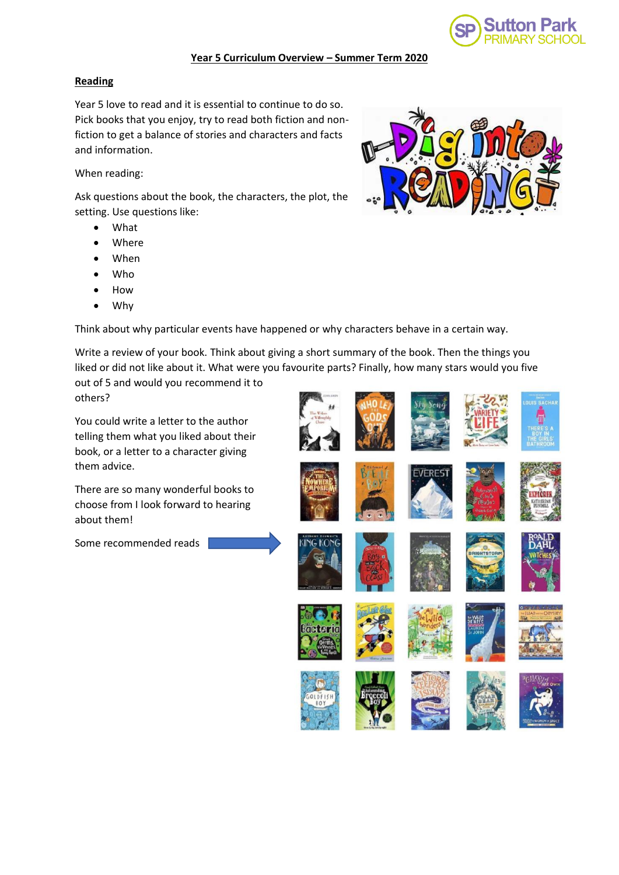

#### **Year 5 Curriculum Overview – Summer Term 2020**

## **Reading**

Year 5 love to read and it is essential to continue to do so. Pick books that you enjoy, try to read both fiction and nonfiction to get a balance of stories and characters and facts and information.

When reading:

Ask questions about the book, the characters, the plot, the setting. Use questions like:

- What
- **Where**
- When
- Who
- How
- Why

Think about why particular events have happened or why characters behave in a certain way.

Write a review of your book. Think about giving a short summary of the book. Then the things you liked or did not like about it. What were you favourite parts? Finally, how many stars would you five

out of 5 and would you recommend it to others?

You could write a letter to the author telling them what you liked about their book, or a letter to a character giving them advice.

There are so many wonderful books to choose from I look forward to hearing about them!

Some recommended reads



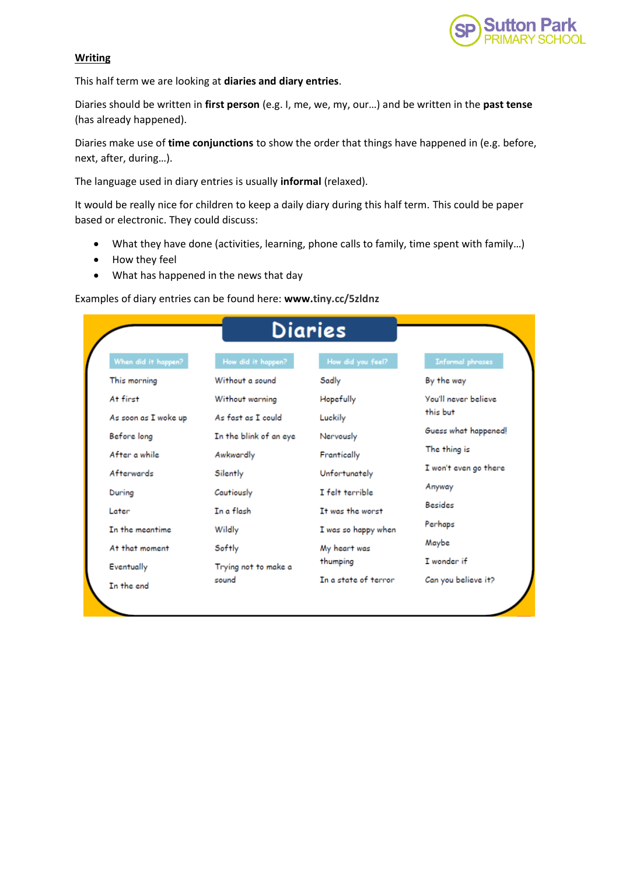

## **Writing**

This half term we are looking at **diaries and diary entries**.

Diaries should be written in **first person** (e.g. I, me, we, my, our…) and be written in the **past tense** (has already happened).

Diaries make use of **time conjunctions** to show the order that things have happened in (e.g. before, next, after, during…).

The language used in diary entries is usually **informal** (relaxed).

It would be really nice for children to keep a daily diary during this half term. This could be paper based or electronic. They could discuss:

- What they have done (activities, learning, phone calls to family, time spent with family…)
- How they feel
- What has happened in the news that day

#### Examples of diary entries can be found here: **www[.tiny.cc/5zldnz](javascript:;)**

| Diaries              |                        |                      |                         |
|----------------------|------------------------|----------------------|-------------------------|
| When did it happen?  | How did it happen?     | How did you feel?    | <b>Informal phrases</b> |
| This morning         | Without a sound        | Sadly                | By the way              |
| At first             | Without warning        | Hopefully            | You'll never believe    |
| As soon as I woke up | As fast as I could     | Luckily              | this but                |
| Before long          | In the blink of an eye | Nervously            | Guess what happened!    |
| After a while        | Awkwardly              | Frantically          | The thing is            |
| Afterwards           | Silently               | Unfortunately        | I won't even go there   |
| During               | Cautiously             | I felt terrible      | Anyway                  |
| Later                | In a flash             | Tt was the worst     | <b>Besides</b>          |
| In the meantime      | Wildly                 | I was so happy when  | Perhaps                 |
| At that moment       | Softly                 | My heart was         | Maybe                   |
| Eventually           | Trying not to make a   | thumping             | I wonder if             |
| In the end           | sound                  | In a state of terror | Can you believe it?     |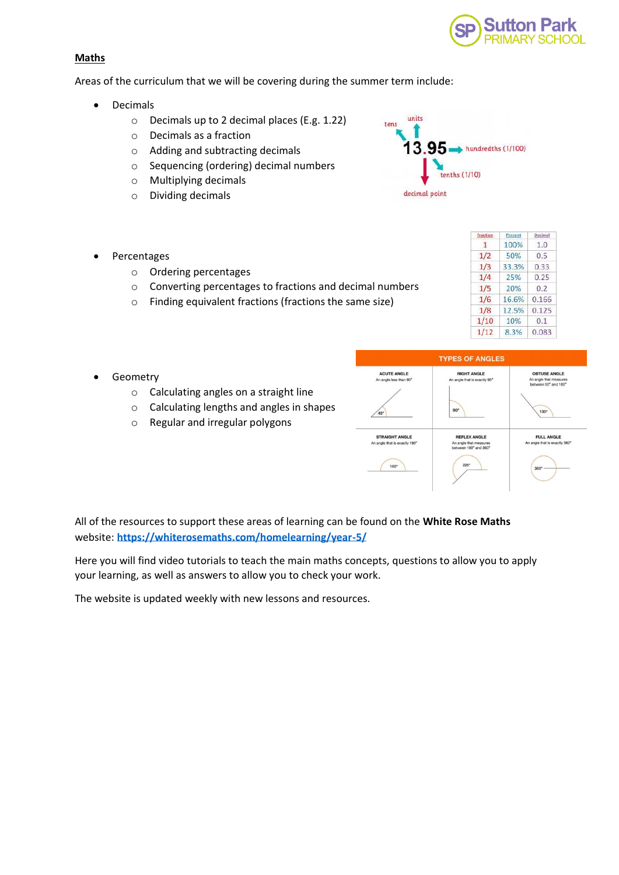

## **Maths**

Areas of the curriculum that we will be covering during the summer term include:

- Decimals
	- o Decimals up to 2 decimal places (E.g. 1.22)
	- o Decimals as a fraction
	- o Adding and subtracting decimals
	- o Sequencing (ordering) decimal numbers
	- o Multiplying decimals
	- o Dividing decimals



- **Percentages** 
	- o Ordering percentages
	- o Converting percentages to fractions and decimal numbers
	- o Finding equivalent fractions (fractions the same size)

| Fraction | Percent | Decimal |
|----------|---------|---------|
| 1        | 100%    | 1.0     |
| 1/2      | 50%     | 0.5     |
| 1/3      | 33.3%   | 0.33    |
| 1/4      | 25%     | 0.25    |
| 1/5      | 20%     | 0.2     |
| 1/6      | 16.6%   | 0.166   |
| 1/8      | 12.5%   | 0.125   |
| 1/10     | 10%     | 0.1     |
| 1/12     | 8.3%    | 0.083   |

- **Geometry** 
	- o Calculating angles on a straight line
	- o Calculating lengths and angles in shapes
	- o Regular and irregular polygons

| <b>ACUTE ANGLE</b>                                     | <b>RIGHT ANGLE</b>                                                     | <b>OBTUSE ANGLE</b>                                |
|--------------------------------------------------------|------------------------------------------------------------------------|----------------------------------------------------|
| An angle less than 90°                                 | An angle that is exactly 90°                                           | An angle that measures<br>between 90° and 180°     |
| 45°                                                    | $90^\circ$                                                             | 130°                                               |
| <b>STRAIGHT ANGLE</b><br>An angle that is exactly 180° | <b>REFLEX ANGLE</b><br>An angle that measures<br>between 180° and 360° | <b>FULL ANGLE</b><br>An angle that is exactly 360° |
| 180°                                                   | $225^\circ$                                                            | $360^\circ$                                        |

All of the resources to support these areas of learning can be found on the **White Rose Maths**  website: **<https://whiterosemaths.com/homelearning/year-5/>**

Here you will find video tutorials to teach the main maths concepts, questions to allow you to apply your learning, as well as answers to allow you to check your work.

The website is updated weekly with new lessons and resources.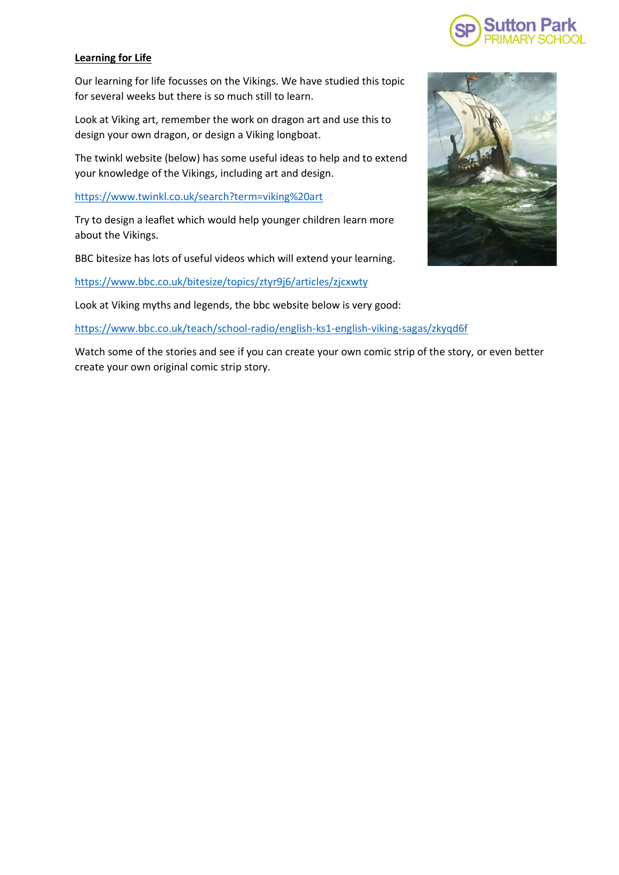

# **Learning for Life**

Our learning for life focusses on the Vikings. We have studied this topic for several weeks but there is so much still to learn.

Look at Viking art, remember the work on dragon art and use this to design your own dragon, or design a Viking longboat.

The twinkl website (below) has some useful ideas to help and to extend your knowledge of the Vikings, including art and design.

<https://www.twinkl.co.uk/search?term=viking%20art>

Try to design a leaflet which would help younger children learn more about the Vikings.

BBC bitesize has lots of useful videos which will extend your learning.

<https://www.bbc.co.uk/bitesize/topics/ztyr9j6/articles/zjcxwty>

Look at Viking myths and legends, the bbc website below is very good:

<https://www.bbc.co.uk/teach/school-radio/english-ks1-english-viking-sagas/zkyqd6f>

Watch some of the stories and see if you can create your own comic strip of the story, or even better create your own original comic strip story.